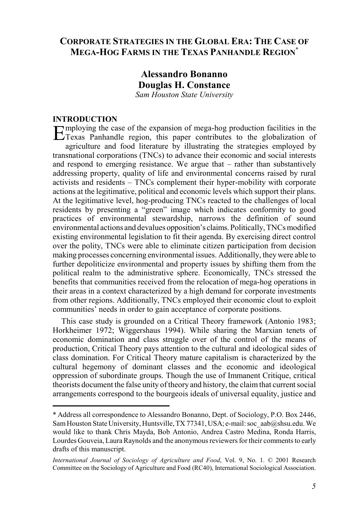# **CORPORATE STRATEGIES IN THE GLOBAL ERA: THE CASE OF MEGA-HOG FARMS IN THE TEXAS PANHANDLE REGION**\*

# **Alessandro Bonanno Douglas H. Constance** *Sam Houston State University*

## **INTRODUCTION**

Employing the case of the expansion of mega-hog production facilities in the Texas Panhandle region, this paper contributes to the globalization of agriculture and food literature by illustrating the strategies employed by transnational corporations (TNCs) to advance their economic and social interests and respond to emerging resistance. We argue that – rather than substantively addressing property, quality of life and environmental concerns raised by rural activists and residents – TNCs complement their hyper-mobility with corporate actions at the legitimative, political and economic levels which support their plans. At the legitimative level, hog-producing TNCs reacted to the challenges of local residents by presenting a "green" image which indicates conformity to good practices of environmental stewardship, narrows the definition of sound environmental actions and devalues opposition's claims. Politically, TNCs modified existing environmental legislation to fit their agenda. By exercising direct control over the polity, TNCs were able to eliminate citizen participation from decision making processes concerning environmental issues. Additionally, they were able to further depoliticize environmental and property issues by shifting them from the political realm to the administrative sphere. Economically, TNCs stressed the benefits that communities received from the relocation of mega-hog operations in their areas in a context characterized by a high demand for corporate investments from other regions. Additionally, TNCs employed their economic clout to exploit communities' needs in order to gain acceptance of corporate positions.

This case study is grounded on a Critical Theory framework (Antonio 1983; Horkheimer 1972; Wiggershaus 1994). While sharing the Marxian tenets of economic domination and class struggle over of the control of the means of production, Critical Theory pays attention to the cultural and ideological sides of class domination. For Critical Theory mature capitalism is characterized by the cultural hegemony of dominant classes and the economic and ideological oppression of subordinate groups. Though the use of Immanent Critique, critical theorists document the false unity of theory and history, the claim that current social arrangements correspond to the bourgeois ideals of universal equality, justice and

<sup>\*</sup> Address all correspondence to Alessandro Bonanno, Dept. of Sociology, P.O. Box 2446, Sam Houston State University, Huntsville, TX 77341, USA; e-mail: soc\_aab@shsu.edu. We would like to thank Chris Mayda, Bob Antonio, Andrea Castro Medina, Ronda Harris, Lourdes Gouveia, Laura Raynolds and the anonymous reviewers for their comments to early drafts of this manuscript.

*International Journal of Sociology of Agriculture and Food*, Vol. 9, No. 1. © 2001 Research Committee on the Sociology of Agriculture and Food (RC40), International Sociological Association.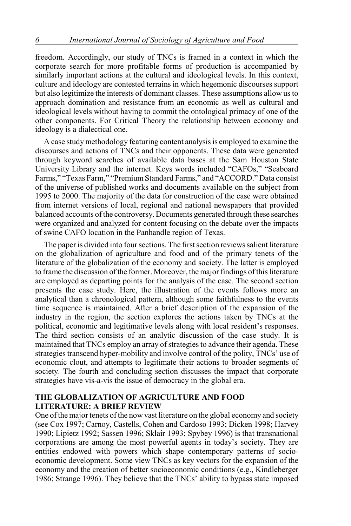freedom. Accordingly, our study of TNCs is framed in a context in which the corporate search for more profitable forms of production is accompanied by similarly important actions at the cultural and ideological levels. In this context, culture and ideology are contested terrains in which hegemonic discourses support but also legitimize the interests of dominant classes. These assumptions allow us to approach domination and resistance from an economic as well as cultural and ideological levels without having to commit the ontological primacy of one of the other components. For Critical Theory the relationship between economy and ideology is a dialectical one.

A case study methodology featuring content analysis is employed to examine the discourses and actions of TNCs and their opponents. These data were generated through keyword searches of available data bases at the Sam Houston State University Library and the internet. Keys words included "CAFOs," "Seaboard Farms," "Texas Farm," "Premium Standard Farms," and "ACCORD." Data consist of the universe of published works and documents available on the subject from 1995 to 2000. The majority of the data for construction of the case were obtained from internet versions of local, regional and national newspapers that provided balanced accounts of the controversy. Documents generated through these searches were organized and analyzed for content focusing on the debate over the impacts of swine CAFO location in the Panhandle region of Texas.

The paper is divided into four sections. The first section reviews salient literature on the globalization of agriculture and food and of the primary tenets of the literature of the globalization of the economy and society. The latter is employed to frame the discussion of the former. Moreover, the major findings of this literature are employed as departing points for the analysis of the case. The second section presents the case study. Here, the illustration of the events follows more an analytical than a chronological pattern, although some faithfulness to the events time sequence is maintained. After a brief description of the expansion of the industry in the region, the section explores the actions taken by TNCs at the political, economic and legitimative levels along with local resident's responses. The third section consists of an analytic discussion of the case study. It is maintained that TNCs employ an array of strategies to advance their agenda. These strategies transcend hyper-mobility and involve control of the polity, TNCs' use of economic clout, and attempts to legitimate their actions to broader segments of society. The fourth and concluding section discusses the impact that corporate strategies have vis-a-vis the issue of democracy in the global era.

## **THE GLOBALIZATION OF AGRICULTURE AND FOOD LITERATURE: A BRIEF REVIEW**

One of the major tenets of the now vast literature on the global economy and society (see Cox 1997; Carnoy, Castells, Cohen and Cardoso 1993; Dicken 1998; Harvey 1990; Lipietz 1992; Sassen 1996; Sklair 1993; Spybey 1996) is that transnational corporations are among the most powerful agents in today's society. They are entities endowed with powers which shape contemporary patterns of socioeconomic development. Some view TNCs as key vectors for the expansion of the economy and the creation of better socioeconomic conditions (e.g., Kindleberger 1986; Strange 1996). They believe that the TNCs' ability to bypass state imposed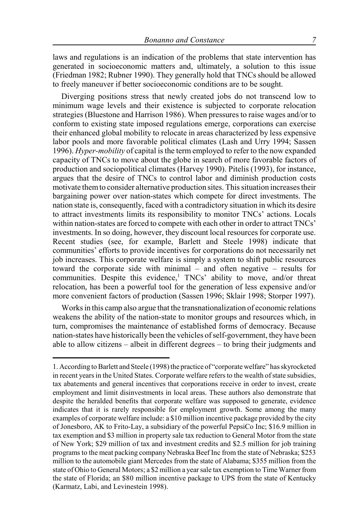laws and regulations is an indication of the problems that state intervention has generated in socioeconomic matters and, ultimately, a solution to this issue (Friedman 1982; Rubner 1990). They generally hold that TNCs should be allowed to freely maneuver if better socioeconomic conditions are to be sought.

Diverging positions stress that newly created jobs do not transcend low to minimum wage levels and their existence is subjected to corporate relocation strategies (Bluestone and Harrison 1986). When pressures to raise wages and/or to conform to existing state imposed regulations emerge, corporations can exercise their enhanced global mobility to relocate in areas characterized by less expensive labor pools and more favorable political climates (Lash and Urry 1994; Sassen 1996). *Hyper-mobility* of capital is the term employed to refer to the now expanded capacity of TNCs to move about the globe in search of more favorable factors of production and sociopolitical climates (Harvey 1990). Pitelis (1993), for instance, argues that the desire of TNCs to control labor and diminish production costs motivate them to consider alternative production sites. This situation increases their bargaining power over nation-states which compete for direct investments. The nation state is, consequently, faced with a contradictory situation in which its desire to attract investments limits its responsibility to monitor TNCs' actions. Locals within nation-states are forced to compete with each other in order to attract TNCs' investments. In so doing, however, they discount local resources for corporate use. Recent studies (see, for example, Barlett and Steele 1998) indicate that communities' efforts to provide incentives for corporations do not necessarily net job increases. This corporate welfare is simply a system to shift public resources toward the corporate side with minimal – and often negative – results for communities. Despite this evidence,<sup>1</sup> TNCs' ability to move, and/or threat relocation, has been a powerful tool for the generation of less expensive and/or more convenient factors of production (Sassen 1996; Sklair 1998; Storper 1997).

Works in this camp also argue that the transnationalization of economic relations weakens the ability of the nation-state to monitor groups and resources which, in turn, compromises the maintenance of established forms of democracy. Because nation-states have historically been the vehicles of self-government, they have been able to allow citizens – albeit in different degrees – to bring their judgments and

<sup>1.</sup> According to Barlett and Steele (1998) the practice of "corporate welfare" has skyrocketed in recent years in the United States. Corporate welfare refers to the wealth of state subsidies, tax abatements and general incentives that corporations receive in order to invest, create employment and limit disinvestments in local areas. These authors also demonstrate that despite the heralded benefits that corporate welfare was supposed to generate, evidence indicates that it is rarely responsible for employment growth. Some among the many examples of corporate welfare include: a \$10 million incentive package provided by the city of Jonesboro, AK to Frito-Lay, a subsidiary of the powerful PepsiCo Inc; \$16.9 million in tax exemption and \$3 million in property sale tax reduction to General Motor from the state of New York; \$29 million of tax and investment credits and \$2.5 million for job training programs to the meat packing company Nebraska Beef Inc from the state of Nebraska; \$253 million to the automobile giant Mercedes from the state of Alabama; \$355 million from the state of Ohio to General Motors; a \$2 million a year sale tax exemption to Time Warner from the state of Florida; an \$80 million incentive package to UPS from the state of Kentucky (Karmatz, Labi, and Levinestein 1998).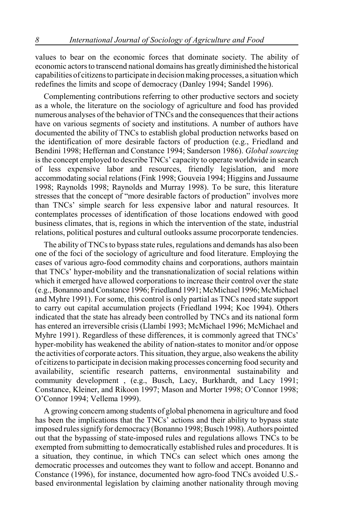values to bear on the economic forces that dominate society. The ability of economic actors to transcend national domains has greatly diminished the historical capabilities of citizens to participate in decision making processes, a situation which redefines the limits and scope of democracy (Danley 1994; Sandel 1996).

Complementing contributions referring to other productive sectors and society as a whole, the literature on the sociology of agriculture and food has provided numerous analyses of the behavior of TNCs and the consequences that their actions have on various segments of society and institutions. A number of authors have documented the ability of TNCs to establish global production networks based on the identification of more desirable factors of production (e.g., Friedland and Bendini 1998; Heffernan and Constance 1994; Sanderson 1986). *Global sourcing* is the concept employed to describe TNCs' capacity to operate worldwide in search of less expensive labor and resources, friendly legislation, and more accommodating social relations (Fink 1998; Gouveia 1994; Higgins and Jussaume 1998; Raynolds 1998; Raynolds and Murray 1998). To be sure, this literature stresses that the concept of "more desirable factors of production" involves more than TNCs' simple search for less expensive labor and natural resources. It contemplates processes of identification of those locations endowed with good business climates, that is, regions in which the intervention of the state, industrial relations, political postures and cultural outlooks assume procorporate tendencies.

The ability of TNCs to bypass state rules, regulations and demands has also been one of the foci of the sociology of agriculture and food literature. Employing the cases of various agro-food commodity chains and corporations, authors maintain that TNCs' hyper-mobility and the transnationalization of social relations within which it emerged have allowed corporations to increase their control over the state (e.g., Bonanno and Constance 1996; Friedland 1991; McMichael 1996; McMichael and Myhre 1991). For some, this control is only partial as TNCs need state support to carry out capital accumulation projects (Friedland 1994; Koc 1994). Others indicated that the state has already been controlled by TNCs and its national form has entered an irreversible crisis (Llambí 1993; McMichael 1996; McMichael and Myhre 1991). Regardless of these differences, it is commonly agreed that TNCs' hyper-mobility has weakened the ability of nation-states to monitor and/or oppose the activities of corporate actors. This situation, they argue, also weakens the ability of citizens to participate in decision making processes concerning food security and availability, scientific research patterns, environmental sustainability and community development , (e.g., Busch, Lacy, Burkhardt, and Lacy 1991; Constance, Kleiner, and Rikoon 1997; Mason and Morter 1998; O'Connor 1998; O'Connor 1994; Vellema 1999).

A growing concern among students of global phenomena in agriculture and food has been the implications that the TNCs' actions and their ability to bypass state imposed rules signify for democracy (Bonanno 1998; Busch 1998). Authors pointed out that the bypassing of state-imposed rules and regulations allows TNCs to be exempted from submitting to democratically established rules and procedures. It is a situation, they continue, in which TNCs can select which ones among the democratic processes and outcomes they want to follow and accept. Bonanno and Constance (1996), for instance, documented how agro-food TNCs avoided U.S. based environmental legislation by claiming another nationality through moving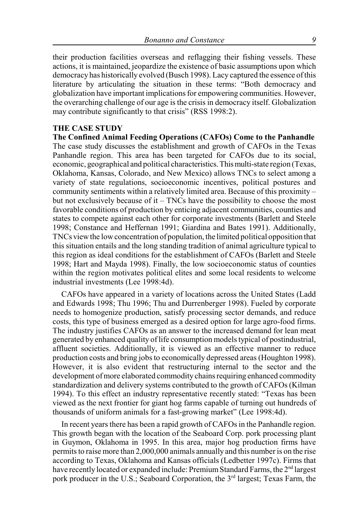their production facilities overseas and reflagging their fishing vessels. These actions, it is maintained, jeopardize the existence of basic assumptions upon which democracy has historically evolved (Busch 1998). Lacy captured the essence of this literature by articulating the situation in these terms: "Both democracy and globalization have important implications for empowering communities. However, the overarching challenge of our age is the crisis in democracy itself. Globalization may contribute significantly to that crisis" (RSS 1998:2).

## **THE CASE STUDY**

**The Confined Animal Feeding Operations (CAFOs) Come to the Panhandle** The case study discusses the establishment and growth of CAFOs in the Texas Panhandle region. This area has been targeted for CAFOs due to its social, economic, geographical and political characteristics. This multi-state region (Texas, Oklahoma, Kansas, Colorado, and New Mexico) allows TNCs to select among a variety of state regulations, socioeconomic incentives, political postures and community sentiments within a relatively limited area. Because of this proximity – but not exclusively because of  $it - TNCs$  have the possibility to choose the most favorable conditions of production by enticing adjacent communities, counties and states to compete against each other for corporate investments (Barlett and Steele 1998; Constance and Heffernan 1991; Giardina and Bates 1991). Additionally, TNCs view the low concentration of population, the limited political opposition that this situation entails and the long standing tradition of animal agriculture typical to this region as ideal conditions for the establishment of CAFOs (Barlett and Steele 1998; Hart and Mayda 1998). Finally, the low socioeconomic status of counties within the region motivates political elites and some local residents to welcome industrial investments (Lee 1998:4d).

CAFOs have appeared in a variety of locations across the United States (Ladd and Edwards 1998; Thu 1996; Thu and Durrenberger 1998). Fueled by corporate needs to homogenize production, satisfy processing sector demands, and reduce costs, this type of business emerged as a desired option for large agro-food firms. The industry justifies CAFOs as an answer to the increased demand for lean meat generated by enhanced quality of life consumption models typical of postindustrial, affluent societies. Additionally, it is viewed as an effective manner to reduce production costs and bring jobs to economically depressed areas (Houghton 1998). However, it is also evident that restructuring internal to the sector and the development of more elaborated commodity chains requiring enhanced commodity standardization and delivery systems contributed to the growth of CAFOs (Kilman 1994). To this effect an industry representative recently stated: "Texas has been viewed as the next frontier for giant hog farms capable of turning out hundreds of thousands of uniform animals for a fast-growing market" (Lee 1998:4d).

In recent years there has been a rapid growth of CAFOs in the Panhandle region. This growth began with the location of the Seaboard Corp. pork processing plant in Guymon, Oklahoma in 1995. In this area, major hog production firms have permits to raise more than 2,000,000 animals annually and this number is on the rise according to Texas, Oklahoma and Kansas officials (Ledbetter 1997c). Firms that have recently located or expanded include: Premium Standard Farms, the 2<sup>nd</sup> largest pork producer in the U.S.; Seaboard Corporation, the 3<sup>rd</sup> largest; Texas Farm, the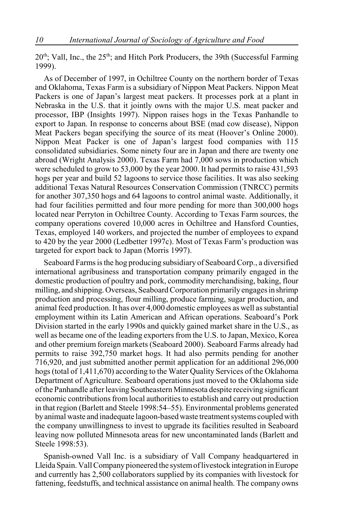$20<sup>th</sup>$ ; Vall, Inc., the  $25<sup>th</sup>$ ; and Hitch Pork Producers, the 39th (Successful Farming 1999).

As of December of 1997, in Ochiltree County on the northern border of Texas and Oklahoma, Texas Farm is a subsidiary of Nippon Meat Packers. Nippon Meat Packers is one of Japan's largest meat packers. It processes pork at a plant in Nebraska in the U.S. that it jointly owns with the major U.S. meat packer and processor, IBP (Insights 1997). Nippon raises hogs in the Texas Panhandle to export to Japan. In response to concerns about BSE (mad cow disease), Nippon Meat Packers began specifying the source of its meat (Hoover's Online 2000). Nippon Meat Packer is one of Japan's largest food companies with 115 consolidated subsidiaries. Some ninety four are in Japan and there are twenty one abroad (Wright Analysis 2000). Texas Farm had 7,000 sows in production which were scheduled to grow to 53,000 by the year 2000. It had permits to raise 431,593 hogs per year and build 52 lagoons to service those facilities. It was also seeking additional Texas Natural Resources Conservation Commission (TNRCC) permits for another 307,350 hogs and 64 lagoons to control animal waste. Additionally, it had four facilities permitted and four more pending for more than 300,000 hogs located near Perryton in Ochiltree County. According to Texas Farm sources, the company operations covered 10,000 acres in Ochiltree and Hansford Counties, Texas, employed 140 workers, and projected the number of employees to expand to 420 by the year 2000 (Ledbetter 1997c). Most of Texas Farm's production was targeted for export back to Japan (Morris 1997).

Seaboard Farms is the hog producing subsidiary of Seaboard Corp., a diversified international agribusiness and transportation company primarily engaged in the domestic production of poultry and pork, commodity merchandising, baking, flour milling, and shipping. Overseas, Seaboard Corporation primarily engages in shrimp production and processing, flour milling, produce farming, sugar production, and animal feed production. It has over 4,000 domestic employees as well as substantial employment within its Latin American and African operations. Seaboard's Pork Division started in the early 1990s and quickly gained market share in the U.S., as well as became one of the leading exporters from the U.S. to Japan, Mexico, Korea and other premium foreign markets (Seaboard 2000). Seaboard Farms already had permits to raise 392,750 market hogs. It had also permits pending for another 716,920, and just submitted another permit application for an additional 296,000 hogs (total of 1,411,670) according to the Water Quality Services of the Oklahoma Department of Agriculture. Seaboard operations just moved to the Oklahoma side of the Panhandle after leaving Southeastern Minnesota despite receiving significant economic contributions from local authorities to establish and carry out production in that region (Barlett and Steele 1998:54–55). Environmental problems generated by animal waste and inadequate lagoon-based waste treatment systems coupled with the company unwillingness to invest to upgrade its facilities resulted in Seaboard leaving now polluted Minnesota areas for new uncontaminated lands (Barlett and Steele 1998:53).

Spanish-owned Vall Inc. is a subsidiary of Vall Company headquartered in Lleida Spain. Vall Company pioneered the system of livestock integration in Europe and currently has 2,500 collaborators supplied by its companies with livestock for fattening, feedstuffs, and technical assistance on animal health. The company owns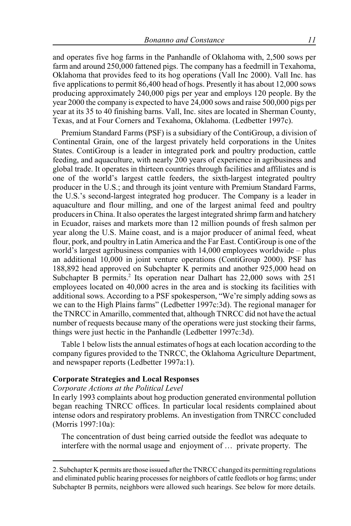and operates five hog farms in the Panhandle of Oklahoma with, 2,500 sows per farm and around 250,000 fattened pigs. The company has a feedmill in Texahoma, Oklahoma that provides feed to its hog operations (Vall Inc 2000). Vall Inc. has five applications to permit 86,400 head of hogs. Presently it has about 12,000 sows producing approximately 240,000 pigs per year and employs 120 people. By the year 2000 the company is expected to have 24,000 sows and raise 500,000 pigs per year at its 35 to 40 finishing barns. Vall, Inc. sites are located in Sherman County, Texas, and at Four Corners and Texahoma, Oklahoma. (Ledbetter 1997c).

Premium Standard Farms (PSF) is a subsidiary of the ContiGroup, a division of Continental Grain, one of the largest privately held corporations in the Unites States. ContiGroup is a leader in integrated pork and poultry production, cattle feeding, and aquaculture, with nearly 200 years of experience in agribusiness and global trade. It operates in thirteen countries through facilities and affiliates and is one of the world's largest cattle feeders, the sixth-largest integrated poultry producer in the U.S.; and through its joint venture with Premium Standard Farms, the U.S.'s second-largest integrated hog producer. The Company is a leader in aquaculture and flour milling, and one of the largest animal feed and poultry producers in China. It also operates the largest integrated shrimp farm and hatchery in Ecuador, raises and markets more than 12 million pounds of fresh salmon per year along the U.S. Maine coast, and is a major producer of animal feed, wheat flour, pork, and poultry in Latin America and the Far East. ContiGroup is one of the world's largest agribusiness companies with 14,000 employees worldwide – plus an additional 10,000 in joint venture operations (ContiGroup 2000). PSF has 188,892 head approved on Subchapter K permits and another 925,000 head on Subchapter B permits.<sup>2</sup> Its operation near Dalhart has 22,000 sows with 251 employees located on 40,000 acres in the area and is stocking its facilities with additional sows. According to a PSF spokesperson, "We're simply adding sows as we can to the High Plains farms" (Ledbetter 1997c:3d). The regional manager for the TNRCC in Amarillo, commented that, although TNRCC did not have the actual number of requests because many of the operations were just stocking their farms, things were just hectic in the Panhandle (Ledbetter 1997c:3d).

Table 1 below lists the annual estimates of hogs at each location according to the company figures provided to the TNRCC, the Oklahoma Agriculture Department, and newspaper reports (Ledbetter 1997a:1).

## **Corporate Strategies and Local Responses**

## *Corporate Actions at the Political Level*

In early 1993 complaints about hog production generated environmental pollution began reaching TNRCC offices. In particular local residents complained about intense odors and respiratory problems. An investigation from TNRCC concluded (Morris 1997:10a):

The concentration of dust being carried outside the feedlot was adequate to interfere with the normal usage and enjoyment of … private property. The

<sup>2.</sup> Subchapter K permits are those issued after the TNRCC changed its permitting regulations and eliminated public hearing processes for neighbors of cattle feedlots or hog farms; under Subchapter B permits, neighbors were allowed such hearings. See below for more details.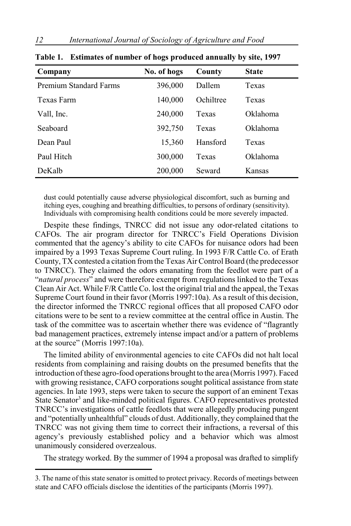| Company                       | No. of hogs | County    | <b>State</b> |  |
|-------------------------------|-------------|-----------|--------------|--|
| <b>Premium Standard Farms</b> | 396,000     | Dallem    | Texas        |  |
| Texas Farm                    | 140,000     | Ochiltree | Texas        |  |
| Vall, Inc.                    | 240,000     | Texas     | Oklahoma     |  |
| Seaboard                      | 392,750     | Texas     | Oklahoma     |  |
| Dean Paul                     | 15,360      | Hansford  | Texas        |  |
| Paul Hitch                    | 300,000     | Texas     | Oklahoma     |  |
| DeKalb                        | 200,000     | Seward    | Kansas       |  |

| Table 1. Estimates of number of hogs produced annually by site, 1997 |  |  |  |
|----------------------------------------------------------------------|--|--|--|
|                                                                      |  |  |  |

dust could potentially cause adverse physiological discomfort, such as burning and itching eyes, coughing and breathing difficulties, to persons of ordinary (sensitivity). Individuals with compromising health conditions could be more severely impacted.

Despite these findings, TNRCC did not issue any odor-related citations to CAFOs. The air program director for TNRCC's Field Operations Division commented that the agency's ability to cite CAFOs for nuisance odors had been impaired by a 1993 Texas Supreme Court ruling. In 1993 F/R Cattle Co. of Erath County, TX contested a citation from the Texas Air Control Board (the predecessor to TNRCC). They claimed the odors emanating from the feedlot were part of a "*natural process*" and were therefore exempt from regulations linked to the Texas Clean Air Act. While F/R Cattle Co. lost the original trial and the appeal, the Texas Supreme Court found in their favor (Morris 1997:10a). As a result of this decision, the director informed the TNRCC regional offices that all proposed CAFO odor citations were to be sent to a review committee at the central office in Austin. The task of the committee was to ascertain whether there was evidence of "flagrantly bad management practices, extremely intense impact and/or a pattern of problems at the source" (Morris 1997:10a).

The limited ability of environmental agencies to cite CAFOs did not halt local residents from complaining and raising doubts on the presumed benefits that the introduction of these agro-food operations brought to the area (Morris 1997). Faced with growing resistance, CAFO corporations sought political assistance from state agencies. In late 1993, steps were taken to secure the support of an eminent Texas State Senator<sup>3</sup> and like-minded political figures. CAFO representatives protested TNRCC's investigations of cattle feedlots that were allegedly producing pungent and "potentially unhealthful" clouds of dust. Additionally, they complained that the TNRCC was not giving them time to correct their infractions, a reversal of this agency's previously established policy and a behavior which was almost unanimously considered overzealous.

The strategy worked. By the summer of 1994 a proposal was drafted to simplify

<sup>3.</sup> The name of this state senator is omitted to protect privacy. Records of meetings between state and CAFO officials disclose the identities of the participants (Morris 1997).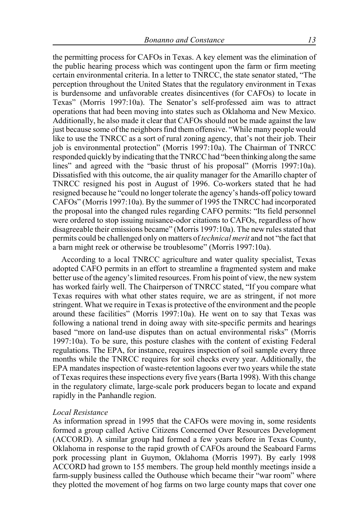the permitting process for CAFOs in Texas. A key element was the elimination of the public hearing process which was contingent upon the farm or firm meeting certain environmental criteria. In a letter to TNRCC, the state senator stated, "The perception throughout the United States that the regulatory environment in Texas is burdensome and unfavorable creates disincentives (for CAFOs) to locate in Texas" (Morris 1997:10a). The Senator's self-professed aim was to attract operations that had been moving into states such as Oklahoma and New Mexico. Additionally, he also made it clear that CAFOs should not be made against the law just because some of the neighbors find them offensive. "While many people would like to use the TNRCC as a sort of rural zoning agency, that's not their job. Their job is environmental protection" (Morris 1997:10a). The Chairman of TNRCC responded quickly by indicating that the TNRCC had "been thinking along the same lines" and agreed with the "basic thrust of his proposal" (Morris 1997:10a). Dissatisfied with this outcome, the air quality manager for the Amarillo chapter of TNRCC resigned his post in August of 1996. Co-workers stated that he had resigned because he "could no longer tolerate the agency's hands-off policy toward CAFOs" (Morris 1997:10a). By the summer of 1995 the TNRCC had incorporated the proposal into the changed rules regarding CAFO permits: "Its field personnel were ordered to stop issuing nuisance-odor citations to CAFOs, regardless of how disagreeable their emissions became" (Morris 1997:10a). The new rules stated that permits could be challenged only on matters of *technical merit* and not "the fact that a barn might reek or otherwise be troublesome" (Morris 1997:10a).

According to a local TNRCC agriculture and water quality specialist, Texas adopted CAFO permits in an effort to streamline a fragmented system and make better use of the agency's limited resources. From his point of view, the new system has worked fairly well. The Chairperson of TNRCC stated, "If you compare what Texas requires with what other states require, we are as stringent, if not more stringent. What we require in Texas is protective of the environment and the people around these facilities" (Morris 1997:10a). He went on to say that Texas was following a national trend in doing away with site-specific permits and hearings based "more on land-use disputes than on actual environmental risks" (Morris 1997:10a). To be sure, this posture clashes with the content of existing Federal regulations. The EPA, for instance, requires inspection of soil sample every three months while the TNRCC requires for soil checks every year. Additionally, the EPA mandates inspection of waste-retention lagoons ever two years while the state of Texas requires these inspections every five years (Barta 1998). With this change in the regulatory climate, large-scale pork producers began to locate and expand rapidly in the Panhandle region.

#### *Local Resistance*

As information spread in 1995 that the CAFOs were moving in, some residents formed a group called Active Citizens Concerned Over Resources Development (ACCORD). A similar group had formed a few years before in Texas County, Oklahoma in response to the rapid growth of CAFOs around the Seaboard Farms pork processing plant in Guymon, Oklahoma (Morris 1997). By early 1998 ACCORD had grown to 155 members. The group held monthly meetings inside a farm-supply business called the Outhouse which became their "war room" where they plotted the movement of hog farms on two large county maps that cover one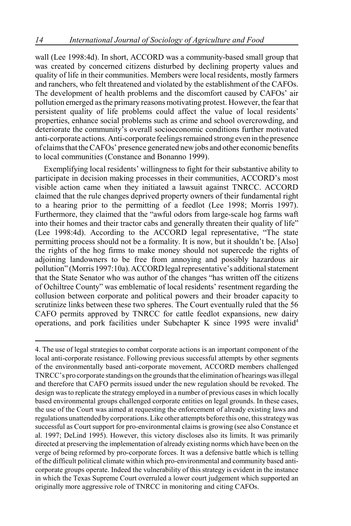wall (Lee 1998:4d). In short, ACCORD was a community-based small group that was created by concerned citizens disturbed by declining property values and quality of life in their communities. Members were local residents, mostly farmers and ranchers, who felt threatened and violated by the establishment of the CAFOs. The development of health problems and the discomfort caused by CAFOs' air pollution emerged as the primary reasons motivating protest. However, the fear that persistent quality of life problems could affect the value of local residents' properties, enhance social problems such as crime and school overcrowding, and deteriorate the community's overall socioeconomic conditions further motivated anti-corporate actions. Anti-corporate feelings remained strong even in the presence of claims that the CAFOs' presence generated new jobs and other economic benefits to local communities (Constance and Bonanno 1999).

Exemplifying local residents' willingness to fight for their substantive ability to participate in decision making processes in their communities, ACCORD's most visible action came when they initiated a lawsuit against TNRCC. ACCORD claimed that the rule changes deprived property owners of their fundamental right to a hearing prior to the permitting of a feedlot (Lee 1998; Morris 1997). Furthermore, they claimed that the "awful odors from large-scale hog farms waft into their homes and their tractor cabs and generally threaten their quality of life" (Lee 1998:4d). According to the ACCORD legal representative, "The state permitting process should not be a formality. It is now, but it shouldn't be. [Also] the rights of the hog firms to make money should not supercede the rights of adjoining landowners to be free from annoying and possibly hazardous air pollution" (Morris 1997:10a). ACCORD legal representative's additional statement that the State Senator who was author of the changes "has written off the citizens of Ochiltree County" was emblematic of local residents' resentment regarding the collusion between corporate and political powers and their broader capacity to scrutinize links between these two spheres. The Court eventually ruled that the 56 CAFO permits approved by TNRCC for cattle feedlot expansions, new dairy operations, and pork facilities under Subchapter K since 1995 were invalid4

<sup>4.</sup> The use of legal strategies to combat corporate actions is an important component of the local anti-corporate resistance. Following previous successful attempts by other segments of the environmentally based anti-corporate movement, ACCORD members challenged TNRCC's pro corporate standings on the grounds that the elimination of hearings was illegal and therefore that CAFO permits issued under the new regulation should be revoked. The design was to replicate the strategy employed in a number of previous cases in which locally based environmental groups challenged corporate entities on legal grounds. In these cases, the use of the Court was aimed at requesting the enforcement of already existing laws and regulations unattended by corporations. Like other attempts before this one, this strategy was successful as Court support for pro-environmental claims is growing (see also Constance et al. 1997; DeLind 1995). However, this victory discloses also its limits. It was primarily directed at preserving the implementation of already existing norms which have been on the verge of being reformed by pro-corporate forces. It was a defensive battle which is telling of the difficult political climate within which pro-environmental and community based anticorporate groups operate. Indeed the vulnerability of this strategy is evident in the instance in which the Texas Supreme Court overruled a lower court judgement which supported an originally more aggressive role of TNRCC in monitoring and citing CAFOs.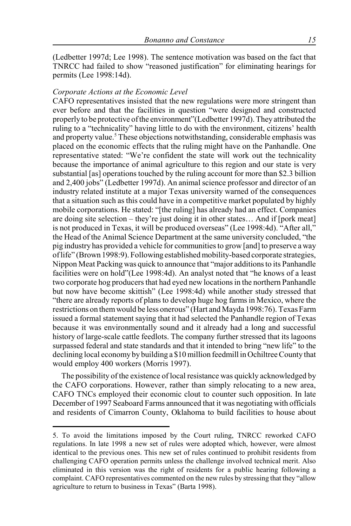(Ledbetter 1997d; Lee 1998). The sentence motivation was based on the fact that TNRCC had failed to show "reasoned justification" for eliminating hearings for permits (Lee 1998:14d).

## *Corporate Actions at the Economic Level*

CAFO representatives insisted that the new regulations were more stringent than ever before and that the facilities in question "were designed and constructed properly to be protective of the environment"(Ledbetter 1997d). They attributed the ruling to a "technicality" having little to do with the environment, citizens' health and property value.<sup>5</sup> These objections notwithstanding, considerable emphasis was placed on the economic effects that the ruling might have on the Panhandle. One representative stated: "We're confident the state will work out the technicality because the importance of animal agriculture to this region and our state is very substantial [as] operations touched by the ruling account for more than \$2.3 billion and 2,400 jobs" (Ledbetter 1997d). An animal science professor and director of an industry related institute at a major Texas university warned of the consequences that a situation such as this could have in a competitive market populated by highly mobile corporations. He stated: "[the ruling] has already had an effect. Companies are doing site selection – they're just doing it in other states… And if [pork meat] is not produced in Texas, it will be produced overseas" (Lee 1998:4d). "After all," the Head of the Animal Science Department at the same university concluded, "the pig industry has provided a vehicle for communities to grow [and] to preserve a way of life" (Brown 1998:9). Following established mobility-based corporate strategies, Nippon Meat Packing was quick to announce that "major additions to its Panhandle facilities were on hold"(Lee 1998:4d). An analyst noted that "he knows of a least two corporate hog producers that had eyed new locations in the northern Panhandle but now have become skittish" (Lee 1998:4d) while another study stressed that "there are already reports of plans to develop huge hog farms in Mexico, where the restrictions on them would be less onerous" (Hart and Mayda 1998:76). Texas Farm issued a formal statement saying that it had selected the Panhandle region of Texas because it was environmentally sound and it already had a long and successful history of large-scale cattle feedlots. The company further stressed that its lagoons surpassed federal and state standards and that it intended to bring "new life" to the declining local economy by building a \$10 million feedmill in Ochiltree County that would employ 400 workers (Morris 1997).

The possibility of the existence of local resistance was quickly acknowledged by the CAFO corporations. However, rather than simply relocating to a new area, CAFO TNCs employed their economic clout to counter such opposition. In late December of 1997 Seaboard Farms announced that it was negotiating with officials and residents of Cimarron County, Oklahoma to build facilities to house about

<sup>5.</sup> To avoid the limitations imposed by the Court ruling, TNRCC reworked CAFO regulations. In late 1998 a new set of rules were adopted which, however, were almost identical to the previous ones. This new set of rules continued to prohibit residents from challenging CAFO operation permits unless the challenge involved technical merit. Also eliminated in this version was the right of residents for a public hearing following a complaint. CAFO representatives commented on the new rules by stressing that they "allow agriculture to return to business in Texas" (Barta 1998).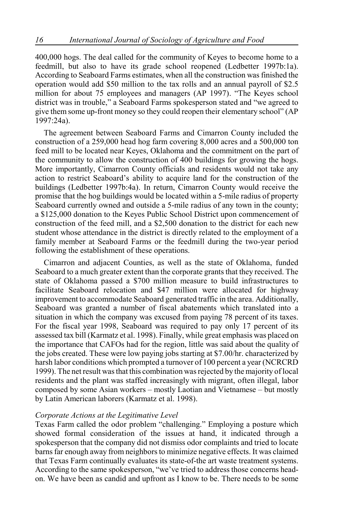400,000 hogs. The deal called for the community of Keyes to become home to a feedmill, but also to have its grade school reopened (Ledbetter 1997b:1a). According to Seaboard Farms estimates, when all the construction was finished the operation would add \$50 million to the tax rolls and an annual payroll of \$2.5 million for about 75 employees and managers (AP 1997). "The Keyes school district was in trouble," a Seaboard Farms spokesperson stated and "we agreed to give them some up-front money so they could reopen their elementary school" (AP 1997:24a).

The agreement between Seaboard Farms and Cimarron County included the construction of a 259,000 head hog farm covering 8,000 acres and a 500,000 ton feed mill to be located near Keyes, Oklahoma and the commitment on the part of the community to allow the construction of 400 buildings for growing the hogs. More importantly, Cimarron County officials and residents would not take any action to restrict Seaboard's ability to acquire land for the construction of the buildings (Ledbetter 1997b:4a). In return, Cimarron County would receive the promise that the hog buildings would be located within a 5-mile radius of property Seaboard currently owned and outside a 5-mile radius of any town in the county; a \$125,000 donation to the Keyes Public School District upon commencement of construction of the feed mill, and a \$2,500 donation to the district for each new student whose attendance in the district is directly related to the employment of a family member at Seaboard Farms or the feedmill during the two-year period following the establishment of these operations.

Cimarron and adjacent Counties, as well as the state of Oklahoma, funded Seaboard to a much greater extent than the corporate grants that they received. The state of Oklahoma passed a \$700 million measure to build infrastructures to facilitate Seaboard relocation and \$47 million were allocated for highway improvement to accommodate Seaboard generated traffic in the area. Additionally, Seaboard was granted a number of fiscal abatements which translated into a situation in which the company was excused from paying 78 percent of its taxes. For the fiscal year 1998, Seaboard was required to pay only 17 percent of its assessed tax bill (Karmatz et al. 1998). Finally, while great emphasis was placed on the importance that CAFOs had for the region, little was said about the quality of the jobs created. These were low paying jobs starting at \$7.00/hr. characterized by harsh labor conditions which prompted a turnover of 100 percent a year (NCRCRD 1999). The net result was that this combination was rejected by the majority of local residents and the plant was staffed increasingly with migrant, often illegal, labor composed by some Asian workers – mostly Laotian and Vietnamese – but mostly by Latin American laborers (Karmatz et al. 1998).

## *Corporate Actions at the Legitimative Level*

Texas Farm called the odor problem "challenging." Employing a posture which showed formal consideration of the issues at hand, it indicated through a spokesperson that the company did not dismiss odor complaints and tried to locate barns far enough away from neighbors to minimize negative effects. It was claimed that Texas Farm continually evaluates its state-of-the art waste treatment systems. According to the same spokesperson, "we've tried to address those concerns headon. We have been as candid and upfront as I know to be. There needs to be some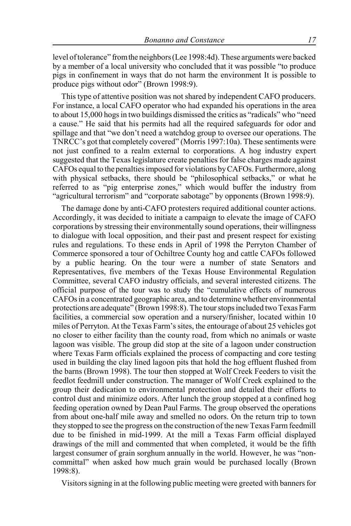level of tolerance" from the neighbors (Lee 1998:4d). These arguments were backed by a member of a local university who concluded that it was possible "to produce pigs in confinement in ways that do not harm the environment It is possible to produce pigs without odor" (Brown 1998:9).

This type of attentive position was not shared by independent CAFO producers. For instance, a local CAFO operator who had expanded his operations in the area to about 15,000 hogs in two buildings dismissed the critics as "radicals" who "need a cause." He said that his permits had all the required safeguards for odor and spillage and that "we don't need a watchdog group to oversee our operations. The TNRCC's got that completely covered" (Morris 1997:10a). These sentiments were not just confined to a realm external to corporations. A hog industry expert suggested that the Texas legislature create penalties for false charges made against CAFOs equal to the penalties imposed for violations by CAFOs. Furthermore, along with physical setbacks, there should be "philosophical setbacks," or what he referred to as "pig enterprise zones," which would buffer the industry from "agricultural terrorism" and "corporate sabotage" by opponents (Brown 1998:9).

The damage done by anti-CAFO protesters required additional counter actions. Accordingly, it was decided to initiate a campaign to elevate the image of CAFO corporations by stressing their environmentally sound operations, their willingness to dialogue with local opposition, and their past and present respect for existing rules and regulations. To these ends in April of 1998 the Perryton Chamber of Commerce sponsored a tour of Ochiltree County hog and cattle CAFOs followed by a public hearing. On the tour were a number of state Senators and Representatives, five members of the Texas House Environmental Regulation Committee, several CAFO industry officials, and several interested citizens. The official purpose of the tour was to study the "cumulative effects of numerous CAFOs in a concentrated geographic area, and to determine whether environmental protections are adequate" (Brown 1998:8). The tour stops included two Texas Farm facilities, a commercial sow operation and a nursery/finisher, located within 10 miles of Perryton. At the Texas Farm's sites, the entourage of about 25 vehicles got no closer to either facility than the county road, from which no animals or waste lagoon was visible. The group did stop at the site of a lagoon under construction where Texas Farm officials explained the process of compacting and core testing used in building the clay lined lagoon pits that hold the hog effluent flushed from the barns (Brown 1998). The tour then stopped at Wolf Creek Feeders to visit the feedlot feedmill under construction. The manager of Wolf Creek explained to the group their dedication to environmental protection and detailed their efforts to control dust and minimize odors. After lunch the group stopped at a confined hog feeding operation owned by Dean Paul Farms. The group observed the operations from about one-half mile away and smelled no odors. On the return trip to town they stopped to see the progress on the construction of the new Texas Farm feedmill due to be finished in mid-1999. At the mill a Texas Farm official displayed drawings of the mill and commented that when completed, it would be the fifth largest consumer of grain sorghum annually in the world. However, he was "noncommittal" when asked how much grain would be purchased locally (Brown 1998:8).

Visitors signing in at the following public meeting were greeted with banners for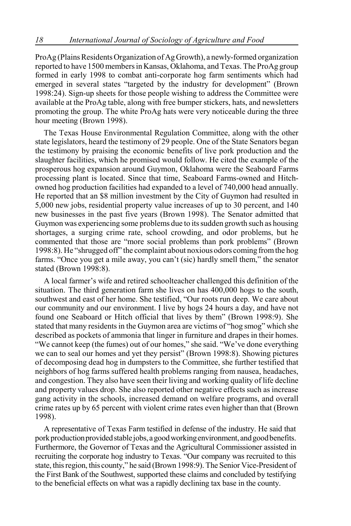ProAg (Plains Residents Organization of Ag Growth), a newly-formed organization reported to have 1500 members in Kansas, Oklahoma, and Texas. The ProAg group formed in early 1998 to combat anti-corporate hog farm sentiments which had emerged in several states "targeted by the industry for development" (Brown 1998:24). Sign-up sheets for those people wishing to address the Committee were available at the ProAg table, along with free bumper stickers, hats, and newsletters promoting the group. The white ProAg hats were very noticeable during the three hour meeting (Brown 1998).

The Texas House Environmental Regulation Committee, along with the other state legislators, heard the testimony of 29 people. One of the State Senators began the testimony by praising the economic benefits of live pork production and the slaughter facilities, which he promised would follow. He cited the example of the prosperous hog expansion around Guymon, Oklahoma were the Seaboard Farms processing plant is located. Since that time, Seaboard Farms-owned and Hitchowned hog production facilities had expanded to a level of 740,000 head annually. He reported that an \$8 million investment by the City of Guymon had resulted in 5,000 new jobs, residential property value increases of up to 30 percent, and 140 new businesses in the past five years (Brown 1998). The Senator admitted that Guymon was experiencing some problems due to its sudden growth such as housing shortages, a surging crime rate, school crowding, and odor problems, but he commented that those are "more social problems than pork problems" (Brown 1998:8). He "shrugged off" the complaint about noxious odors coming from the hog farms. "Once you get a mile away, you can't (sic) hardly smell them," the senator stated (Brown 1998:8).

A local farmer's wife and retired schoolteacher challenged this definition of the situation. The third generation farm she lives on has 400,000 hogs to the south, southwest and east of her home. She testified, "Our roots run deep. We care about our community and our environment. I live by hogs 24 hours a day, and have not found one Seaboard or Hitch official that lives by them" (Brown 1998:9). She stated that many residents in the Guymon area are victims of "hog smog" which she described as pockets of ammonia that linger in furniture and drapes in their homes. "We cannot keep (the fumes) out of our homes," she said. "We've done everything we can to seal our homes and yet they persist" (Brown 1998:8). Showing pictures of decomposing dead hog in dumpsters to the Committee, she further testified that neighbors of hog farms suffered health problems ranging from nausea, headaches, and congestion. They also have seen their living and working quality of life decline and property values drop. She also reported other negative effects such as increase gang activity in the schools, increased demand on welfare programs, and overall crime rates up by 65 percent with violent crime rates even higher than that (Brown 1998).

A representative of Texas Farm testified in defense of the industry. He said that pork production provided stable jobs, a good working environment, and good benefits. Furthermore, the Governor of Texas and the Agricultural Commissioner assisted in recruiting the corporate hog industry to Texas. "Our company was recruited to this state, this region, this county," he said (Brown 1998:9). The Senior Vice-President of the First Bank of the Southwest, supported these claims and concluded by testifying to the beneficial effects on what was a rapidly declining tax base in the county.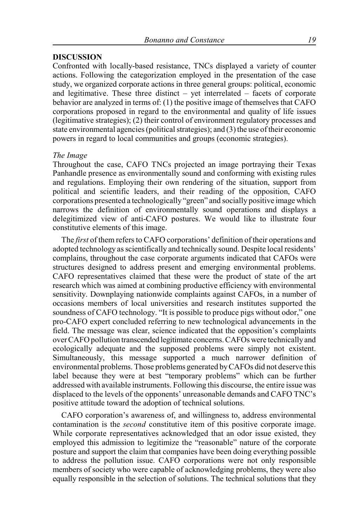## **DISCUSSION**

Confronted with locally-based resistance, TNCs displayed a variety of counter actions. Following the categorization employed in the presentation of the case study, we organized corporate actions in three general groups: political, economic and legitimative. These three distinct – yet interrelated – facets of corporate behavior are analyzed in terms of: (1) the positive image of themselves that CAFO corporations proposed in regard to the environmental and quality of life issues (legitimative strategies); (2) their control of environment regulatory processes and state environmental agencies (political strategies); and (3) the use of their economic powers in regard to local communities and groups (economic strategies).

#### *The Image*

Throughout the case, CAFO TNCs projected an image portraying their Texas Panhandle presence as environmentally sound and conforming with existing rules and regulations. Employing their own rendering of the situation, support from political and scientific leaders, and their reading of the opposition, CAFO corporations presented a technologically "green" and socially positive image which narrows the definition of environmentally sound operations and displays a delegitimized view of anti-CAFO postures. We would like to illustrate four constitutive elements of this image.

The *first* of them refers to CAFO corporations' definition of their operations and adopted technology as scientifically and technically sound. Despite local residents' complains, throughout the case corporate arguments indicated that CAFOs were structures designed to address present and emerging environmental problems. CAFO representatives claimed that these were the product of state of the art research which was aimed at combining productive efficiency with environmental sensitivity. Downplaying nationwide complaints against CAFOs, in a number of occasions members of local universities and research institutes supported the soundness of CAFO technology. "It is possible to produce pigs without odor," one pro-CAFO expert concluded referring to new technological advancements in the field. The message was clear, science indicated that the opposition's complaints over CAFO pollution transcended legitimate concerns. CAFOs were technically and ecologically adequate and the supposed problems were simply not existent. Simultaneously, this message supported a much narrower definition of environmental problems. Those problems generated by CAFOs did not deserve this label because they were at best "temporary problems" which can be further addressed with available instruments. Following this discourse, the entire issue was displaced to the levels of the opponents' unreasonable demands and CAFO TNC's positive attitude toward the adoption of technical solutions.

CAFO corporation's awareness of, and willingness to, address environmental contamination is the *second* constitutive item of this positive corporate image. While corporate representatives acknowledged that an odor issue existed, they employed this admission to legitimize the "reasonable" nature of the corporate posture and support the claim that companies have been doing everything possible to address the pollution issue. CAFO corporations were not only responsible members of society who were capable of acknowledging problems, they were also equally responsible in the selection of solutions. The technical solutions that they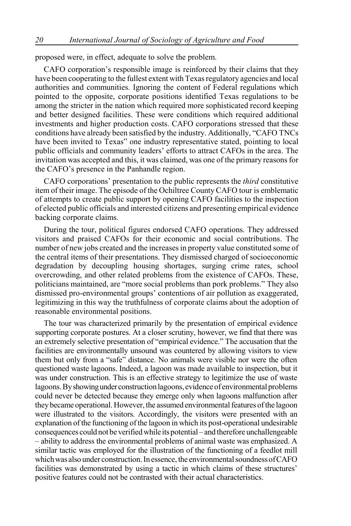proposed were, in effect, adequate to solve the problem.

CAFO corporation's responsible image is reinforced by their claims that they have been cooperating to the fullest extent with Texas regulatory agencies and local authorities and communities. Ignoring the content of Federal regulations which pointed to the opposite, corporate positions identified Texas regulations to be among the stricter in the nation which required more sophisticated record keeping and better designed facilities. These were conditions which required additional investments and higher production costs. CAFO corporations stressed that these conditions have already been satisfied by the industry. Additionally, "CAFO TNCs have been invited to Texas" one industry representative stated, pointing to local public officials and community leaders' efforts to attract CAFOs in the area. The invitation was accepted and this, it was claimed, was one of the primary reasons for the CAFO's presence in the Panhandle region.

CAFO corporations' presentation to the public represents the *third* constitutive item of their image. The episode of the Ochiltree County CAFO tour is emblematic of attempts to create public support by opening CAFO facilities to the inspection of elected public officials and interested citizens and presenting empirical evidence backing corporate claims.

During the tour, political figures endorsed CAFO operations. They addressed visitors and praised CAFOs for their economic and social contributions. The number of new jobs created and the increases in property value constituted some of the central items of their presentations. They dismissed charged of socioeconomic degradation by decoupling housing shortages, surging crime rates, school overcrowding, and other related problems from the existence of CAFOs. These, politicians maintained, are "more social problems than pork problems." They also dismissed pro-environmental groups' contentions of air pollution as exaggerated, legitimizing in this way the truthfulness of corporate claims about the adoption of reasonable environmental positions.

The tour was characterized primarily by the presentation of empirical evidence supporting corporate postures. At a closer scrutiny, however, we find that there was an extremely selective presentation of "empirical evidence." The accusation that the facilities are environmentally unsound was countered by allowing visitors to view them but only from a "safe" distance. No animals were visible nor were the often questioned waste lagoons. Indeed, a lagoon was made available to inspection, but it was under construction. This is an effective strategy to legitimize the use of waste lagoons. By showing under construction lagoons, evidence of environmental problems could never be detected because they emerge only when lagoons malfunction after they became operational. However, the assumed environmental features of the lagoon were illustrated to the visitors. Accordingly, the visitors were presented with an explanation of the functioning of the lagoon in which its post-operational undesirable consequences could not be verified while its potential – and therefore unchallengeable – ability to address the environmental problems of animal waste was emphasized. A similar tactic was employed for the illustration of the functioning of a feedlot mill which was also under construction. In essence, the environmental soundness of CAFO facilities was demonstrated by using a tactic in which claims of these structures' positive features could not be contrasted with their actual characteristics.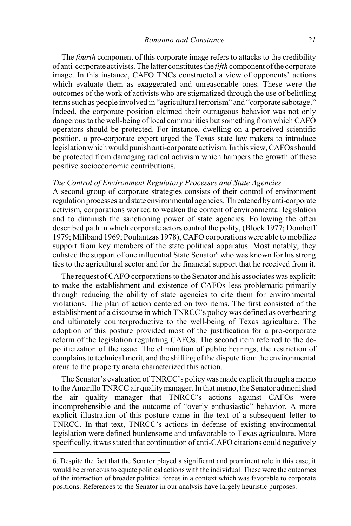The *fourth* component of this corporate image refers to attacks to the credibility of anti-corporate activists. The latter constitutes the *fifth* component of the corporate image. In this instance, CAFO TNCs constructed a view of opponents' actions which evaluate them as exaggerated and unreasonable ones. These were the outcomes of the work of activists who are stigmatized through the use of belittling terms such as people involved in "agricultural terrorism" and "corporate sabotage." Indeed, the corporate position claimed their outrageous behavior was not only dangerous to the well-being of local communities but something from which CAFO operators should be protected. For instance, dwelling on a perceived scientific position, a pro-corporate expert urged the Texas state law makers to introduce legislation which would punish anti-corporate activism. In this view, CAFOs should be protected from damaging radical activism which hampers the growth of these positive socioeconomic contributions.

#### *The Control of Environment Regulatory Processes and State Agencies*

A second group of corporate strategies consists of their control of environment regulation processes and state environmental agencies. Threatened by anti-corporate activism, corporations worked to weaken the content of environmental legislation and to diminish the sanctioning power of state agencies. Following the often described path in which corporate actors control the polity, (Block 1977; Domhoff 1979; Miliband 1969; Poulantzas 1978), CAFO corporations were able to mobilize support from key members of the state political apparatus. Most notably, they enlisted the support of one influential State Senator<sup>6</sup> who was known for his strong ties to the agricultural sector and for the financial support that he received from it.

The request of CAFO corporations to the Senator and his associates was explicit: to make the establishment and existence of CAFOs less problematic primarily through reducing the ability of state agencies to cite them for environmental violations. The plan of action centered on two items. The first consisted of the establishment of a discourse in which TNRCC's policy was defined as overbearing and ultimately counterproductive to the well-being of Texas agriculture. The adoption of this posture provided most of the justification for a pro-corporate reform of the legislation regulating CAFOs. The second item referred to the depoliticization of the issue. The elimination of public hearings, the restriction of complains to technical merit, and the shifting of the dispute from the environmental arena to the property arena characterized this action.

The Senator's evaluation of TNRCC's policy was made explicit through a memo to the Amarillo TNRCC air quality manager. In that memo, the Senator admonished the air quality manager that TNRCC's actions against CAFOs were incomprehensible and the outcome of "overly enthusiastic" behavior. A more explicit illustration of this posture came in the text of a subsequent letter to TNRCC. In that text, TNRCC's actions in defense of existing environmental legislation were defined burdensome and unfavorable to Texas agriculture. More specifically, it was stated that continuation of anti-CAFO citations could negatively

<sup>6.</sup> Despite the fact that the Senator played a significant and prominent role in this case, it would be erroneous to equate political actions with the individual. These were the outcomes of the interaction of broader political forces in a context which was favorable to corporate positions. References to the Senator in our analysis have largely heuristic purposes.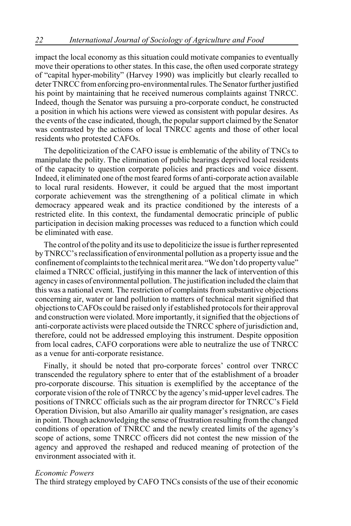impact the local economy as this situation could motivate companies to eventually move their operations to other states. In this case, the often used corporate strategy of "capital hyper-mobility" (Harvey 1990) was implicitly but clearly recalled to deter TNRCC from enforcing pro-environmental rules. The Senator further justified his point by maintaining that he received numerous complaints against TNRCC. Indeed, though the Senator was pursuing a pro-corporate conduct, he constructed a position in which his actions were viewed as consistent with popular desires. As the events of the case indicated, though, the popular support claimed by the Senator was contrasted by the actions of local TNRCC agents and those of other local residents who protested CAFOs.

The depoliticization of the CAFO issue is emblematic of the ability of TNCs to manipulate the polity. The elimination of public hearings deprived local residents of the capacity to question corporate policies and practices and voice dissent. Indeed, it eliminated one of the most feared forms of anti-corporate action available to local rural residents. However, it could be argued that the most important corporate achievement was the strengthening of a political climate in which democracy appeared weak and its practice conditioned by the interests of a restricted elite. In this context, the fundamental democratic principle of public participation in decision making processes was reduced to a function which could be eliminated with ease.

The control of the polity and its use to depoliticize the issue is further represented by TNRCC's reclassification of environmental pollution as a property issue and the confinement of complaints to the technical merit area. "We don't do property value" claimed a TNRCC official, justifying in this manner the lack of intervention of this agency in cases of environmental pollution. The justification included the claim that this was a national event. The restriction of complaints from substantive objections concerning air, water or land pollution to matters of technical merit signified that objections to CAFOs could be raised only if established protocols for their approval and construction were violated. More importantly, it signified that the objections of anti-corporate activists were placed outside the TNRCC sphere of jurisdiction and, therefore, could not be addressed employing this instrument. Despite opposition from local cadres, CAFO corporations were able to neutralize the use of TNRCC as a venue for anti-corporate resistance.

Finally, it should be noted that pro-corporate forces' control over TNRCC transcended the regulatory sphere to enter that of the establishment of a broader pro-corporate discourse. This situation is exemplified by the acceptance of the corporate vision of the role of TNRCC by the agency's mid-upper level cadres. The positions of TNRCC officials such as the air program director for TNRCC's Field Operation Division, but also Amarillo air quality manager's resignation, are cases in point. Though acknowledging the sense of frustration resulting from the changed conditions of operation of TNRCC and the newly created limits of the agency's scope of actions, some TNRCC officers did not contest the new mission of the agency and approved the reshaped and reduced meaning of protection of the environment associated with it.

## *Economic Powers*

The third strategy employed by CAFO TNCs consists of the use of their economic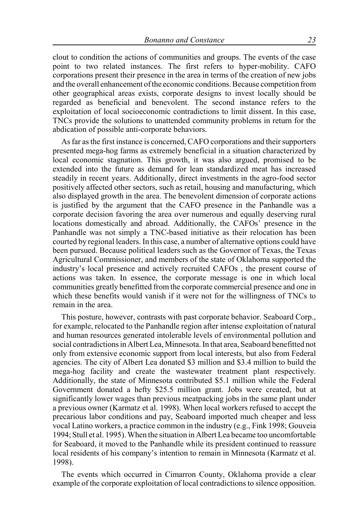clout to condition the actions of communities and groups. The events of the case point to two related instances. The first refers to hyper-mobility. CAFO corporations present their presence in the area in terms of the creation of new jobs and the overall enhancement of the economic conditions. Because competition from other geographical areas exists, corporate designs to invest locally should be regarded as beneficial and benevolent. The second instance refers to the exploitation of local socioeconomic contradictions to limit dissent. In this case, TNCs provide the solutions to unattended community problems in return for the abdication of possible anti-corporate behaviors.

As far as the first instance is concerned, CAFO corporations and their supporters presented mega-hog farms as extremely beneficial in a situation characterized by local economic stagnation. This growth, it was also argued, promised to be extended into the future as demand for lean standardized meat has increased steadily in recent years. Additionally, direct investments in the agro-food sector positively affected other sectors, such as retail, housing and manufacturing, which also displayed growth in the area. The benevolent dimension of corporate actions is justified by the argument that the CAFO presence in the Panhandle was a corporate decision favoring the area over numerous and equally deserving rural locations domestically and abroad. Additionally, the CAFOs' presence in the Panhandle was not simply a TNC-based initiative as their relocation has been courted by regional leaders. In this case, a number of alternative options could have been pursued. Because political leaders such as the Governor of Texas, the Texas Agricultural Commissioner, and members of the state of Oklahoma supported the industry's local presence and actively recruited CAFOs , the present course of actions was taken. In essence, the corporate message is one in which local communities greatly benefitted from the corporate commercial presence and one in which these benefits would vanish if it were not for the willingness of TNCs to remain in the area.

This posture, however, contrasts with past corporate behavior. Seaboard Corp., for example, relocated to the Panhandle region after intense exploitation of natural and human resources generated intolerable levels of environmental pollution and social contradictions in Albert Lea, Minnesota. In that area, Seaboard benefitted not only from extensive economic support from local interests, but also from Federal agencies. The city of Albert Lea donated \$3 million and \$3.4 million to build the mega-hog facility and create the wastewater treatment plant respectively. Additionally, the state of Minnesota contributed \$5.1 million while the Federal Government donated a hefty \$25.5 million grant. Jobs were created, but at significantly lower wages than previous meatpacking jobs in the same plant under a previous owner (Karmatz et al. 1998). When local workers refused to accept the precarious labor conditions and pay, Seaboard imported much cheaper and less vocal Latino workers, a practice common in the industry (e.g., Fink 1998; Gouveia 1994; Stull et al. 1995). When the situation in Albert Lea became too uncomfortable for Seaboard, it moved to the Panhandle while its president continued to reassure local residents of his company's intention to remain in Minnesota (Karmatz et al. 1998).

The events which occurred in Cimarron County, Oklahoma provide a clear example of the corporate exploitation of local contradictions to silence opposition.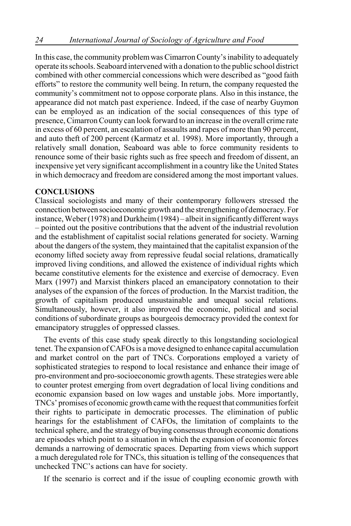In this case, the community problem was Cimarron County's inability to adequately operate its schools. Seaboard intervened with a donation to the public school district combined with other commercial concessions which were described as "good faith efforts" to restore the community well being. In return, the company requested the community's commitment not to oppose corporate plans. Also in this instance, the appearance did not match past experience. Indeed, if the case of nearby Guymon can be employed as an indication of the social consequences of this type of presence, Cimarron County can look forward to an increase in the overall crime rate in excess of 60 percent, an escalation of assaults and rapes of more than 90 percent, and auto theft of 200 percent (Karmatz et al. 1998). More importantly, through a relatively small donation, Seaboard was able to force community residents to renounce some of their basic rights such as free speech and freedom of dissent, an inexpensive yet very significant accomplishment in a country like the United States in which democracy and freedom are considered among the most important values.

# **CONCLUSIONS**

Classical sociologists and many of their contemporary followers stressed the connection between socioeconomic growth and the strengthening of democracy. For instance, Weber (1978) and Durkheim (1984) – albeit in significantly different ways – pointed out the positive contributions that the advent of the industrial revolution and the establishment of capitalist social relations generated for society. Warning about the dangers of the system, they maintained that the capitalist expansion of the economy lifted society away from repressive feudal social relations, dramatically improved living conditions, and allowed the existence of individual rights which became constitutive elements for the existence and exercise of democracy. Even Marx (1997) and Marxist thinkers placed an emancipatory connotation to their analyses of the expansion of the forces of production. In the Marxist tradition, the growth of capitalism produced unsustainable and unequal social relations. Simultaneously, however, it also improved the economic, political and social conditions of subordinate groups as bourgeois democracy provided the context for emancipatory struggles of oppressed classes.

The events of this case study speak directly to this longstanding sociological tenet. The expansion of CAFOs is a move designed to enhance capital accumulation and market control on the part of TNCs. Corporations employed a variety of sophisticated strategies to respond to local resistance and enhance their image of pro-environment and pro-socioeconomic growth agents. These strategies were able to counter protest emerging from overt degradation of local living conditions and economic expansion based on low wages and unstable jobs. More importantly, TNCs' promises of economic growth came with the request that communities forfeit their rights to participate in democratic processes. The elimination of public hearings for the establishment of CAFOs, the limitation of complaints to the technical sphere, and the strategy of buying consensus through economic donations are episodes which point to a situation in which the expansion of economic forces demands a narrowing of democratic spaces. Departing from views which support a much deregulated role for TNCs, this situation is telling of the consequences that unchecked TNC's actions can have for society.

If the scenario is correct and if the issue of coupling economic growth with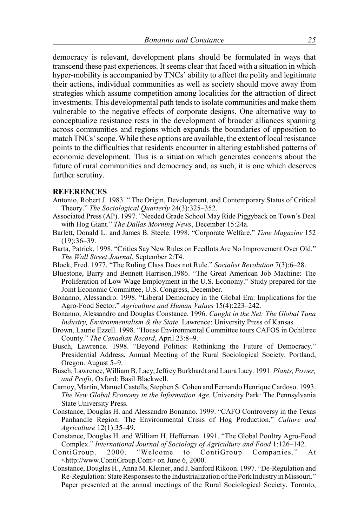democracy is relevant, development plans should be formulated in ways that transcend these past experiences. It seems clear that faced with a situation in which hyper-mobility is accompanied by TNCs' ability to affect the polity and legitimate their actions, individual communities as well as society should move away from strategies which assume competition among localities for the attraction of direct investments. This developmental path tends to isolate communities and make them vulnerable to the negative effects of corporate designs. One alternative way to conceptualize resistance rests in the development of broader alliances spanning across communities and regions which expands the boundaries of opposition to match TNCs' scope. While these options are available, the extent of local resistance points to the difficulties that residents encounter in altering established patterns of economic development. This is a situation which generates concerns about the future of rural communities and democracy and, as such, it is one which deserves further scrutiny.

#### **REFERENCES**

- Antonio, Robert J. 1983. " The Origin, Development, and Contemporary Status of Critical Theory." *The Sociological Quarterly* 24(3):325–352.
- Associated Press (AP). 1997. "Needed Grade School May Ride Piggyback on Town's Deal with Hog Giant." *The Dallas Morning News*, December 15:24a.
- Barlett, Donald L. and James B. Steele. 1998. "Corporate Welfare." *Time Magazine* 152 (19):36–39.
- Barta, Patrick. 1998. "Critics Say New Rules on Feedlots Are No Improvement Over Old." *The Wall Street Journal*, September 2:T4.
- Block, Fred. 1977. "The Ruling Class Does not Rule." *Socialist Revolution* 7(3):6–28.
- Bluestone, Barry and Bennett Harrison.1986. "The Great American Job Machine: The Proliferation of Low Wage Employment in the U.S. Economy." Study prepared for the Joint Economic Committee, U.S. Congress, December.
- Bonanno, Alessandro. 1998. "Liberal Democracy in the Global Era: Implications for the Agro-Food Sector." *Agriculture and Human Values* 15(4):223–242.
- Bonanno, Alessandro and Douglas Constance. 1996. *Caught in the Net: The Global Tuna Industry, Environmentalism & the State*. Lawrence: University Press of Kansas.
- Brown, Laurie Ezzell. 1998. "House Environmental Committee tours CAFOS in Ochiltree County." *The Canadian Record*, April 23:8–9.
- Busch, Lawrence. 1998. "Beyond Politics: Rethinking the Future of Democracy." Presidential Address, Annual Meeting of the Rural Sociological Society. Portland, Oregon. August 5–9.
- Busch, Lawrence, William B. Lacy, Jeffrey Burkhardt and Laura Lacy. 1991. *Plants, Power, and Profit*. Oxford: Basil Blackwell.
- Carnoy, Martin, Manuel Castells, Stephen S. Cohen and Fernando Henrique Cardoso. 1993. *The New Global Economy in the Information Age*. University Park: The Pennsylvania State University Press.
- Constance, Douglas H. and Alessandro Bonanno. 1999. "CAFO Controversy in the Texas Panhandle Region: The Environmental Crisis of Hog Production." *Culture and Agriculture* 12(1):35–49.
- Constance, Douglas H. and William H. Heffernan. 1991. "The Global Poultry Agro-Food Complex." *International Journal of Sociology of Agriculture and Food* 1:126–142.
- ContiGroup. 2000. "Welcome to ContiGroup Companies." At <http://www.ContiGroup.Com> on June 6, 2000.
- Constance, Douglas H., Anna M. Kleiner, and J. Sanford Rikoon. 1997. "De-Regulation and Re-Regulation: State Responses to the Industrialization of the Pork Industry in Missouri." Paper presented at the annual meetings of the Rural Sociological Society. Toronto,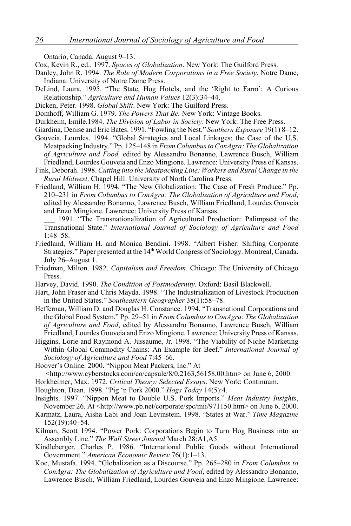Ontario, Canada. August 9–13.

- Cox, Kevin R., ed.. 1997. *Spaces of Globalization*. New York: The Guilford Press.
- Danley, John R. 1994. *The Role of Modern Corporations in a Free Society*. Notre Dame, Indiana: University of Notre Dame Press.
- DeLind, Laura. 1995. "The State, Hog Hotels, and the 'Right to Farm': A Curious Relationship." *Agriculture and Human Values* 12(3):34–44.
- Dicken, Peter. 1998. *Global Shift*. New York: The Guilford Press.
- Domhoff, William G. 1979. *The Powers That Be.* New York: Vintage Books.
- Durkheim, Emile.1984. *The Division of Labor in Society*. New York: The Free Press.
- Giardina, Denise and Eric Bates. 1991. "Fowling the Nest." *Southern Exposure* 19(1) 8–12.
- Gouveia, Lourdes. 1994. "Global Strategies and Local Linkages: the Case of the U.S. Meatpacking Industry." Pp. 125–148 in *From Columbus to ConAgra: The Globalization of Agriculture and Food,* edited by Alessandro Bonanno, Lawrence Busch, William Friedland, Lourdes Gouveia and Enzo Mingione. Lawrence: University Press of Kansas.
- Fink, Deborah. 1998. *Cutting into the Meatpacking Line: Workers and Rural Change in the Rural Midwest*. Chapel Hill: University of North Carolina Press.
- Friedland, William H. 1994. "The New Globalization: The Case of Fresh Produce." Pp. 210–231 in *From Columbus to ConAgra: The Globalization of Agriculture and Food*, edited by Alessandro Bonanno, Lawrence Busch, William Friedland, Lourdes Gouveia and Enzo Mingione. Lawrence: University Press of Kansas.
	- 1991. "The Transnationalization of Agricultural Production: Palimpsest of the Transnational State." *International Journal of Sociology of Agriculture and Food* 1:48–58.
- Friedland, William H. and Monica Bendini. 1998. "Albert Fisher: Shifting Corporate Strategies." Paper presented at the 14<sup>th</sup> World Congress of Sociology. Montreal, Canada. July 26–August 1.
- Friedman, Milton. 1982. *Capitalism and Freedom*. Chicago: The University of Chicago Press.
- Harvey, David. 1990. *The Condition of Postmodernity*. Oxford: Basil Blackwell.
- Hart, John Fraser and Chris Mayda. 1998. "The Industrialization of Livestock Production in the United States." *Southeastern Geographer* 38(1):58–78.
- Heffernan, William D. and Douglas H. Constance. 1994. "Transnational Corporations and the Global Food System." Pp. 29–51 in *From Columbus to ConAgra: The Globalization of Agriculture and Food*, edited by Alessandro Bonanno, Lawrence Busch, William Friedland, Lourdes Gouveia and Enzo Mingione. Lawrence: University Press of Kansas.
- Higgins, Lorie and Raymond A. Jussaume, Jr. 1998. "The Viability of Niche Marketing Within Global Commodity Chains: An Example for Beef." *International Journal of Sociology of Agriculture and Food* 7:45–66.
- Hoover's Online. 2000. "Nippon Meat Packers, Inc." At
- $\langle$ http://www.cyberstocks.com/co/capsule/8/0,2163,56158,00.htm> on June 6, 2000.
- Horkheimer, Max. 1972. *Critical Theory: Selected Essays*. New York: Continuum.
- Houghton, Dean. 1998. "Pig 'n Pork 2000." *Hogs Today* 14(5):4.
- Insights. 1997. "Nippon Meat to Double U.S. Pork Imports." *Meat Industry Insights*, November 26. At <http://www.pb.net/corporate/spc/mii/971150.htm> on June 6, 2000.
- Karmatz, Laura, Aisha Labi and Joan Levinstein. 1998. "States at War." *Time Magazine* 152(19):40–54.
- Kilman, Scott 1994. "Power Pork: Corporations Begin to Turn Hog Business into an Assembly Line." *The Wall Street Journal* March 28:A1,A5.
- Kindleberger, Charles P. 1986. "International Public Goods without International Government." *American Economic Review* 76(1):1–13.
- Koc, Mustafa. 1994. "Globalization as a Discourse." Pp. 265–280 in *From Columbus to ConAgra: The Globalization of Agriculture and Food*, edited by Alessandro Bonanno, Lawrence Busch, William Friedland, Lourdes Gouveia and Enzo Mingione. Lawrence: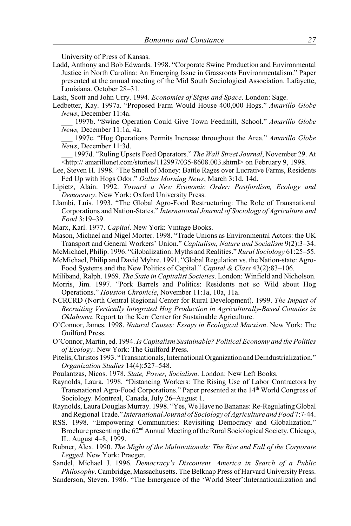University of Press of Kansas.

Ladd, Anthony and Bob Edwards. 1998. "Corporate Swine Production and Environmental Justice in North Carolina: An Emerging Issue in Grassroots Environmentalism." Paper presented at the annual meeting of the Mid South Sociological Association. Lafayette, Louisiana. October 28–31.

Lash, Scott and John Urry. 1994. *Economies of Signs and Space*. London: Sage.

Ledbetter, Kay. 1997a. "Proposed Farm Would House 400,000 Hogs." *Amarillo Globe News*, December 11:4a.

\_\_\_ 1997b. "Swine Operation Could Give Town Feedmill, School." *Amarillo Globe News,* December 11:1a, 4a.

\_\_\_ 1997c. "Hog Operations Permits Increase throughout the Area." *Amarillo Globe News*, December 11:3d.

\_\_\_ 1997d. "Ruling Upsets Feed Operators." *The Wall Street Journal*, November 29. At <http:// amarillonet.com/stories/112997/035-8608.003.shtml> on February 9, 1998.

- Lee, Steven H. 1998. "The Smell of Money: Battle Rages over Lucrative Farms, Residents Fed Up with Hogs Odor." *Dallas Morning News*, March 3:1d, 14d.
- Lipietz, Alain. 1992. *Toward a New Economic Order: Postfordism, Ecology and Democracy*. New York: Oxford University Press.
- Llambí, Luis. 1993. "The Global Agro-Food Restructuring: The Role of Transnational Corporations and Nation-States." *International Journal of Sociology of Agriculture and Food* 3:19–39.

Marx, Karl. 1977. *Capital*. New York: Vintage Books.

- Mason, Michael and Nigel Morter. 1998. "Trade Unions as Environmental Actors: the UK Transport and General Workers' Union." *Capitalism, Nature and Socialism* 9(2):3–34.
- McMichael, Philip. 1996. "Globalization: Myths and Realities." *Rural Sociology* 61:25–55. McMichael, Philip and David Myhre. 1991. "Global Regulation vs. the Nation-state: Agro-
- Food Systems and the New Politics of Capital." *Capital & Class* 43(2):83–106.

Miliband, Ralph. 1969. *The State in Capitalist Societies*. London: Winfield and Nicholson.

- Morris, Jim. 1997. "Pork Barrels and Politics: Residents not so Wild about Hog Operations." *Houston Chronicle*, November 11:1a, 10a, 11a.
- NCRCRD (North Central Regional Center for Rural Development). 1999. *The Impact of Recruiting Vertically Integrated Hog Production in Agriculturally-Based Counties in Oklahoma*. Report to the Kerr Center for Sustainable Agriculture.
- O'Connor, James. 1998. *Natural Causes: Essays in Ecological Marxism*. New York: The Guilford Press.
- O'Connor, Martin, ed. 1994. *Is Capitalism Sustainable? Political Economy and the Politics of Ecology*. New York: The Guilford Press.
- Pitelis, Christos 1993. "Transnationals, International Organization and Deindustrialization." *Organization Studies* 14(4):527–548.
- Poulantzas, Nicos. 1978. *State, Power, Socialism*. London: New Left Books.
- Raynolds, Laura. 1998. "Distancing Workers: The Rising Use of Labor Contractors by Transnational Agro-Food Corporations." Paper presented at the 14<sup>th</sup> World Congress of Sociology. Montreal, Canada, July 26–August 1.
- Raynolds, Laura Douglas Murray. 1998. "Yes, We Have no Bananas: Re-Regulating Global and Regional Trade." *International Journal of Sociology of Agriculture and Food* 7:7-44.
- RSS. 1998. "Empowering Communities: Revisiting Democracy and Globalization." Brochure presenting the 62<sup>nd</sup> Annual Meeting of the Rural Sociological Society. Chicago, IL. August 4–8, 1999.
- Rubner, Alex. 1990. *The Might of the Multinationals: The Rise and Fall of the Corporate Legged*. New York: Praeger.

Sandel, Michael J. 1996. *Democracy's Discontent. America in Search of a Public Philosophy*. Cambridge, Massachusetts. The Belknap Press of Harvard University Press.

Sanderson, Steven. 1986. "The Emergence of the 'World Steer':Internationalization and